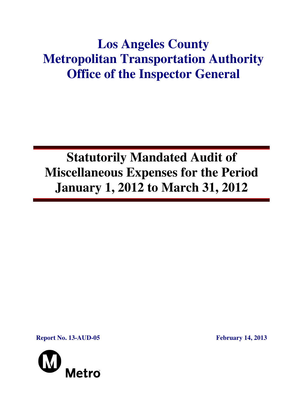# **Los Angeles County Metropolitan Transportation Authority Office of the Inspector General**

# **Statutorily Mandated Audit of Miscellaneous Expenses for the Period January 1, 2012 to March 31, 2012**

**Report No. 13-AUD-05 February 14, 2013** 

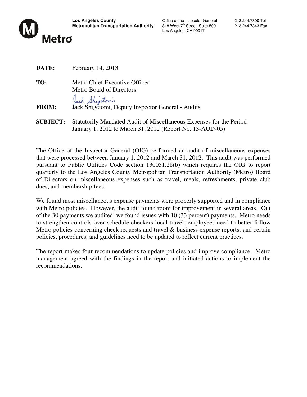

Los Angeles, CA 90017

| DATE:           | February 14, 2013                                                    |
|-----------------|----------------------------------------------------------------------|
| TO:             | Metro Chief Executive Officer                                        |
|                 | <b>Metro Board of Directors</b>                                      |
|                 | Jack Shigetoniu<br>Jack Shigetomi, Deputy Inspector General - Audits |
| <b>FROM:</b>    |                                                                      |
| <b>SUBJECT:</b> | Statutorily Mandated Audit of Miscellaneous Expenses for the Period  |
|                 | January 1, 2012 to March 31, 2012 (Report No. 13-AUD-05)             |

The Office of the Inspector General (OIG) performed an audit of miscellaneous expenses that were processed between January 1, 2012 and March 31, 2012. This audit was performed pursuant to Public Utilities Code section 130051.28(b) which requires the OIG to report quarterly to the Los Angeles County Metropolitan Transportation Authority (Metro) Board of Directors on miscellaneous expenses such as travel, meals, refreshments, private club dues, and membership fees.

We found most miscellaneous expense payments were properly supported and in compliance with Metro policies. However, the audit found room for improvement in several areas. Out of the 30 payments we audited, we found issues with 10 (33 percent) payments. Metro needs to strengthen controls over schedule checkers local travel; employees need to better follow Metro policies concerning check requests and travel & business expense reports; and certain policies, procedures, and guidelines need to be updated to reflect current practices.

The report makes four recommendations to update policies and improve compliance. Metro management agreed with the findings in the report and initiated actions to implement the recommendations.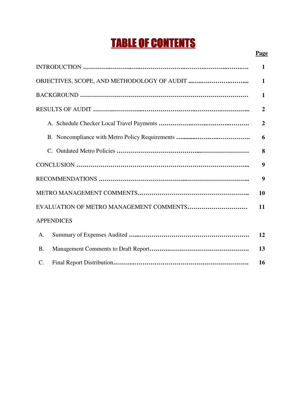# TABLE OF CONTENTS

|                   | $\overline{2}$ |  |  |
|-------------------|----------------|--|--|
|                   | 6              |  |  |
|                   |                |  |  |
|                   |                |  |  |
|                   |                |  |  |
|                   |                |  |  |
|                   |                |  |  |
| <b>APPENDICES</b> |                |  |  |
| Α.                | 12             |  |  |
| <b>B.</b>         | 13             |  |  |
| $\mathcal{C}$ .   | 16             |  |  |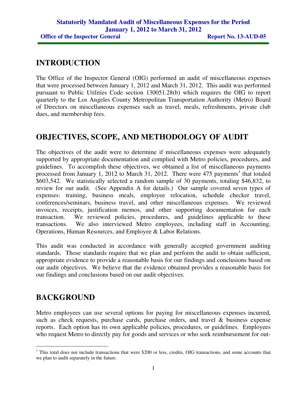## **INTRODUCTION**

The Office of the Inspector General (OIG) performed an audit of miscellaneous expenses that were processed between January 1, 2012 and March 31, 2012. This audit was performed pursuant to Public Utilities Code section 130051.28(b) which requires the OIG to report quarterly to the Los Angeles County Metropolitan Transportation Authority (Metro) Board of Directors on miscellaneous expenses such as travel, meals, refreshments, private club dues, and membership fees.

## **OBJECTIVES, SCOPE, AND METHODOLOGY OF AUDIT**

The objectives of the audit were to determine if miscellaneous expenses were adequately supported by appropriate documentation and complied with Metro policies, procedures, and guidelines. To accomplish these objectives, we obtained a list of miscellaneous payments processed from January 1, 2012 to March 31, 2012. There were  $475$  payments<sup>1</sup> that totaled \$603,542. We statistically selected a random sample of 30 payments, totaling \$46,832, to review for our audit. (See Appendix A for details.) Our sample covered seven types of expenses: training, business meals, employee relocation, schedule checker travel, conferences/seminars, business travel, and other miscellaneous expenses. We reviewed invoices, receipts, justification memos, and other supporting documentation for each transaction. We reviewed policies, procedures, and guidelines applicable to these transactions. We also interviewed Metro employees, including staff in Accounting, Operations, Human Resources, and Employee & Labor Relations.

This audit was conducted in accordance with generally accepted government auditing standards. Those standards require that we plan and perform the audit to obtain sufficient, appropriate evidence to provide a reasonable basis for our findings and conclusions based on our audit objectives. We believe that the evidence obtained provides a reasonable basis for our findings and conclusions based on our audit objectives.

# **BACKGROUND**

Metro employees can use several options for paying for miscellaneous expenses incurred, such as check requests, purchase cards, purchase orders, and travel & business expense reports. Each option has its own applicable policies, procedures, or guidelines. Employees who request Metro to directly pay for goods and services or who seek reimbursement for out-

<sup>&</sup>lt;sup>1</sup> This total does not include transactions that were \$200 or less, credits, OIG transactions, and some accounts that we plan to audit separately in the future.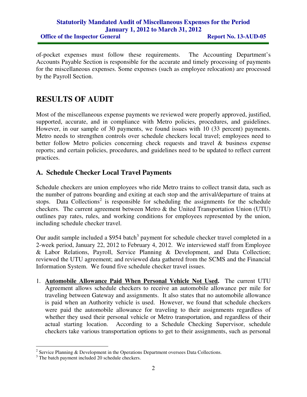#### **Statutorily Mandated Audit of Miscellaneous Expenses for the Period January 1, 2012 to March 31, 2012 Office of the Inspector General Report No. 13-AUD-05**

of-pocket expenses must follow these requirements. The Accounting Department's Accounts Payable Section is responsible for the accurate and timely processing of payments for the miscellaneous expenses. Some expenses (such as employee relocation) are processed by the Payroll Section.

# **RESULTS OF AUDIT**

Most of the miscellaneous expense payments we reviewed were properly approved, justified, supported, accurate, and in compliance with Metro policies, procedures, and guidelines. However, in our sample of 30 payments, we found issues with 10 (33 percent) payments. Metro needs to strengthen controls over schedule checkers local travel; employees need to better follow Metro policies concerning check requests and travel & business expense reports; and certain policies, procedures, and guidelines need to be updated to reflect current practices.

### **A. Schedule Checker Local Travel Payments**

Schedule checkers are union employees who ride Metro trains to collect transit data, such as the number of patrons boarding and exiting at each stop and the arrival/departure of trains at stops. Data Collections<sup>2</sup> is responsible for scheduling the assignments for the schedule checkers. The current agreement between Metro & the United Transportation Union (UTU) outlines pay rates, rules, and working conditions for employees represented by the union, including schedule checker travel.

Our audit sample included a \$954 batch<sup>3</sup> payment for schedule checker travel completed in a 2-week period, January 22, 2012 to February 4, 2012. We interviewed staff from Employee & Labor Relations, Payroll, Service Planning & Development, and Data Collection; reviewed the UTU agreement; and reviewed data gathered from the SCMS and the Financial Information System. We found five schedule checker travel issues.

1. **Automobile Allowance Paid When Personal Vehicle Not Used.** The current UTU Agreement allows schedule checkers to receive an automobile allowance per mile for traveling between Gateway and assignments. It also states that no automobile allowance is paid when an Authority vehicle is used. However, we found that schedule checkers were paid the automobile allowance for traveling to their assignments regardless of whether they used their personal vehicle or Metro transportation, and regardless of their actual starting location. According to a Schedule Checking Supervisor, schedule checkers take various transportation options to get to their assignments, such as personal

<sup>&</sup>lt;sup>2</sup> Service Planning & Development in the Operations Department oversees Data Collections.

<sup>&</sup>lt;sup>3</sup> The batch payment included 20 schedule checkers.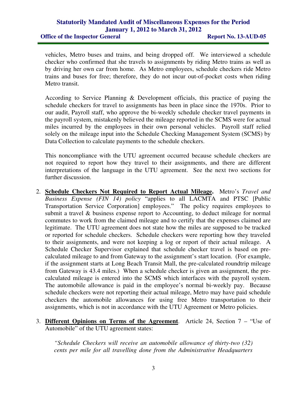**Office of the Inspector General Report No. 13-AUD-05** 

vehicles, Metro buses and trains, and being dropped off. We interviewed a schedule checker who confirmed that she travels to assignments by riding Metro trains as well as by driving her own car from home. As Metro employees, schedule checkers ride Metro trains and buses for free; therefore, they do not incur out-of-pocket costs when riding Metro transit.

According to Service Planning & Development officials, this practice of paying the schedule checkers for travel to assignments has been in place since the 1970s. Prior to our audit, Payroll staff, who approve the bi-weekly schedule checker travel payments in the payroll system, mistakenly believed the mileage reported in the SCMS were for actual miles incurred by the employees in their own personal vehicles. Payroll staff relied solely on the mileage input into the Schedule Checking Management System (SCMS) by Data Collection to calculate payments to the schedule checkers.

This noncompliance with the UTU agreement occurred because schedule checkers are not required to report how they travel to their assignments, and there are different interpretations of the language in the UTU agreement. See the next two sections for further discussion.

- 2. **Schedule Checkers Not Required to Report Actual Mileage.** Metro's *Travel and Business Expense (FIN 14) policy* "applies to all LACMTA and PTSC [Public Transportation Service Corporation] employees." The policy requires employees to submit a travel & business expense report to Accounting, to deduct mileage for normal commutes to work from the claimed mileage and to certify that the expenses claimed are legitimate. The UTU agreement does not state how the miles are supposed to be tracked or reported for schedule checkers. Schedule checkers were reporting how they traveled to their assignments, and were not keeping a log or report of their actual mileage. A Schedule Checker Supervisor explained that schedule checker travel is based on precalculated mileage to and from Gateway to the assignment's start location. (For example, if the assignment starts at Long Beach Transit Mall, the pre-calculated roundtrip mileage from Gateway is 43.4 miles.) When a schedule checker is given an assignment, the precalculated mileage is entered into the SCMS which interfaces with the payroll system. The automobile allowance is paid in the employee's normal bi-weekly pay. Because schedule checkers were not reporting their actual mileage, Metro may have paid schedule checkers the automobile allowances for using free Metro transportation to their assignments, which is not in accordance with the UTU Agreement or Metro policies.
- 3. **Different Opinions on Terms of the Agreement**. Article 24, Section 7 "Use of Automobile" of the UTU agreement states:

*"Schedule Checkers will receive an automobile allowance of thirty-two (32) cents per mile for all travelling done from the Administrative Headquarters*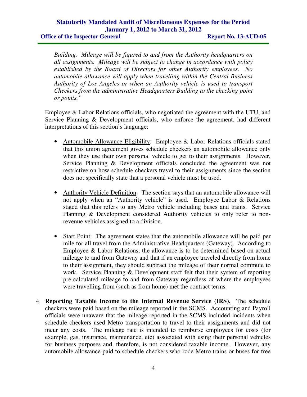**Office of the Inspector General Report No. 13-AUD-05** 

*Building. Mileage will be figured to and from the Authority headquarters on all assignments. Mileage will be subject to change in accordance with policy established by the Board of Directors for other Authority employees. No automobile allowance will apply when travelling within the Central Business Authority of Los Angeles or when an Authority vehicle is used to transport Checkers from the administrative Headquarters Building to the checking point or points."* 

Employee & Labor Relations officials, who negotiated the agreement with the UTU, and Service Planning & Development officials, who enforce the agreement, had different interpretations of this section's language:

- Automobile Allowance Eligibility: Employee & Labor Relations officials stated that this union agreement gives schedule checkers an automobile allowance only when they use their own personal vehicle to get to their assignments. However, Service Planning & Development officials concluded the agreement was not restrictive on how schedule checkers travel to their assignments since the section does not specifically state that a personal vehicle must be used.
- Authority Vehicle Definition: The section says that an automobile allowance will not apply when an "Authority vehicle" is used. Employee Labor & Relations stated that this refers to any Metro vehicle including buses and trains. Service Planning & Development considered Authority vehicles to only refer to nonrevenue vehicles assigned to a division.
- Start Point: The agreement states that the automobile allowance will be paid per mile for all travel from the Administrative Headquarters (Gateway). According to Employee & Labor Relations, the allowance is to be determined based on actual mileage to and from Gateway and that if an employee traveled directly from home to their assignment, they should subtract the mileage of their normal commute to work. Service Planning & Development staff felt that their system of reporting pre-calculated mileage to and from Gateway regardless of where the employees were travelling from (such as from home) met the contract terms.
- 4. **Reporting Taxable Income to the Internal Revenue Service (IRS).** The schedule checkers were paid based on the mileage reported in the SCMS. Accounting and Payroll officials were unaware that the mileage reported in the SCMS included incidents when schedule checkers used Metro transportation to travel to their assignments and did not incur any costs. The mileage rate is intended to reimburse employees for costs (for example, gas, insurance, maintenance, etc) associated with using their personal vehicles for business purposes and, therefore, is not considered taxable income. However, any automobile allowance paid to schedule checkers who rode Metro trains or buses for free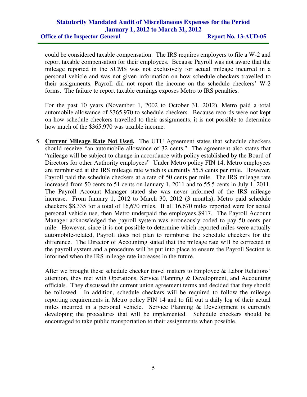**Office of the Inspector General Report No. 13-AUD-05** 

could be considered taxable compensation. The IRS requires employers to file a W-2 and report taxable compensation for their employees. Because Payroll was not aware that the mileage reported in the SCMS was not exclusively for actual mileage incurred in a personal vehicle and was not given information on how schedule checkers travelled to their assignments, Payroll did not report the income on the schedule checkers' W-2 forms. The failure to report taxable earnings exposes Metro to IRS penalties.

For the past 10 years (November 1, 2002 to October 31, 2012), Metro paid a total automobile allowance of \$365,970 to schedule checkers. Because records were not kept on how schedule checkers travelled to their assignments, it is not possible to determine how much of the \$365,970 was taxable income.

5. **Current Mileage Rate Not Used.** The UTU Agreement states that schedule checkers should receive "an automobile allowance of 32 cents." The agreement also states that "mileage will be subject to change in accordance with policy established by the Board of Directors for other Authority employees" Under Metro policy FIN 14, Metro employees are reimbursed at the IRS mileage rate which is currently 55.5 cents per mile. However, Payroll paid the schedule checkers at a rate of 50 cents per mile. The IRS mileage rate increased from 50 cents to 51 cents on January 1, 2011 and to 55.5 cents in July 1, 2011. The Payroll Account Manager stated she was never informed of the IRS mileage increase. From January 1, 2012 to March 30, 2012 (3 months), Metro paid schedule checkers \$8,335 for a total of 16,670 miles. If all 16,670 miles reported were for actual personal vehicle use, then Metro underpaid the employees \$917. The Payroll Account Manager acknowledged the payroll system was erroneously coded to pay 50 cents per mile. However, since it is not possible to determine which reported miles were actually automobile-related, Payroll does not plan to reimburse the schedule checkers for the difference. The Director of Accounting stated that the mileage rate will be corrected in the payroll system and a procedure will be put into place to ensure the Payroll Section is informed when the IRS mileage rate increases in the future.

After we brought these schedule checker travel matters to Employee & Labor Relations' attention, they met with Operations, Service Planning & Development, and Accounting officials. They discussed the current union agreement terms and decided that they should be followed. In addition, schedule checkers will be required to follow the mileage reporting requirements in Metro policy FIN 14 and to fill out a daily log of their actual miles incurred in a personal vehicle. Service Planning & Development is currently developing the procedures that will be implemented. Schedule checkers should be encouraged to take public transportation to their assignments when possible.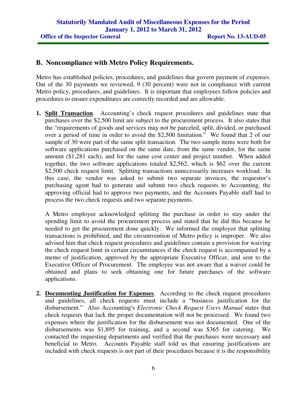#### **B. Noncompliance with Metro Policy Requirements.**

Metro has established policies, procedures, and guidelines that govern payment of expenses. Out of the 30 payments we reviewed, 9 (30 percent) were not in compliance with current Metro policy, procedures, and guidelines. It is important that employees follow policies and procedures to ensure expenditures are correctly recorded and are allowable.

**1. Split Transaction**. Accounting's check request procedures and guidelines state that purchases over the \$2,500 limit are subject to the procurement process. It also states that the "requirements of goods and services may not be parceled, split, divided, or purchased over a period of time in order to avoid the \$2,500 limitation." We found that 2 of our sample of 30 were part of the same split transaction. The two sample items were both for software applications purchased on the same date, from the same vendor, for the same amount (\$1,281 each), and for the same cost center and project number. When added together, the two software applications totaled \$2,562, which is \$62 over the current \$2,500 check request limit. Splitting transactions unnecessarily increases workload. In this case, the vendor was asked to submit two separate invoices, the requestor's purchasing agent had to generate and submit two check requests to Accounting, the approving official had to approve two payments, and the Accounts Payable staff had to process the two check requests and two separate payments.

A Metro employee acknowledged splitting the purchase in order to stay under the spending limit to avoid the procurement process and stated that he did this because he needed to get the procurement done quickly. We informed the employee that splitting transactions is prohibited, and the circumvention of Metro policy is improper. We also advised him that check request procedures and guidelines contain a provision for waiving the check request limit in certain circumstances if the check request is accompanied by a memo of justification, approved by the appropriate Executive Officer, and sent to the Executive Officer of Procurement. The employee was not aware that a waiver could be obtained and plans to seek obtaining one for future purchases of the software applications.

**2. Documenting Justification for Expenses**. According to the check request procedures and guidelines, all check requests must include a "business justification for the disbursement." Also Accounting's *Electronic Check Request Users Manual* states that check requests that lack the proper documentation will not be processed. We found two expenses where the justification for the disbursement was not documented. One of the disbursements was  $$1,895$  for training, and a second was  $$365$  for catering. contacted the requesting departments and verified that the purchases were necessary and beneficial to Metro. Accounts Payable staff told us that ensuring justifications are included with check requests is not part of their procedures because it is the responsibility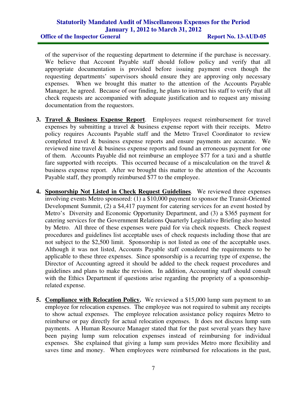**Office of the Inspector General Report No. 13-AUD-05** 

of the supervisor of the requesting department to determine if the purchase is necessary. We believe that Account Payable staff should follow policy and verify that all appropriate documentation is provided before issuing payment even though the requesting departments' supervisors should ensure they are approving only necessary expenses. When we brought this matter to the attention of the Accounts Payable Manager, he agreed. Because of our finding, he plans to instruct his staff to verify that all check requests are accompanied with adequate justification and to request any missing documentation from the requestors.

- **3. Travel & Business Expense Report**. Employees request reimbursement for travel expenses by submitting a travel & business expense report with their receipts. Metro policy requires Accounts Payable staff and the Metro Travel Coordinator to review completed travel & business expense reports and ensure payments are accurate. We reviewed nine travel & business expense reports and found an erroneous payment for one of them. Accounts Payable did not reimburse an employee \$77 for a taxi and a shuttle fare supported with receipts. This occurred because of a miscalculation on the travel  $\&$ business expense report. After we brought this matter to the attention of the Accounts Payable staff, they promptly reimbursed \$77 to the employee.
- **4. Sponsorship Not Listed in Check Request Guidelines**. We reviewed three expenses involving events Metro sponsored: (1) a \$10,000 payment to sponsor the Transit-Oriented Development Summit, (2) a \$4,417 payment for catering services for an event hosted by Metro's Diversity and Economic Opportunity Department, and (3) a \$365 payment for catering services for the Government Relations Quarterly Legislative Briefing also hosted by Metro. All three of these expenses were paid for via check requests. Check request procedures and guidelines list acceptable uses of check requests including those that are not subject to the \$2,500 limit. Sponsorship is not listed as one of the acceptable uses. Although it was not listed, Accounts Payable staff considered the requirements to be applicable to these three expenses. Since sponsorship is a recurring type of expense, the Director of Accounting agreed it should be added to the check request procedures and guidelines and plans to make the revision. In addition, Accounting staff should consult with the Ethics Department if questions arise regarding the propriety of a sponsorshiprelated expense.
- **5. Compliance with Relocation Policy.** We reviewed a \$15,000 lump sum payment to an employee for relocation expenses. The employee was not required to submit any receipts to show actual expenses. The employee relocation assistance policy requires Metro to reimburse or pay directly for actual relocation expenses. It does not discuss lump sum payments. A Human Resource Manager stated that for the past several years they have been paying lump sum relocation expenses instead of reimbursing for individual expenses. She explained that giving a lump sum provides Metro more flexibility and saves time and money. When employees were reimbursed for relocations in the past,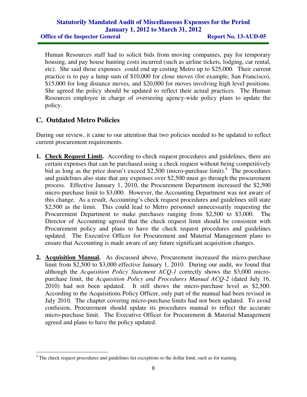#### **Statutorily Mandated Audit of Miscellaneous Expenses for the Period January 1, 2012 to March 31, 2012 Office of the Inspector General Report No. 13-AUD-05**

Human Resources staff had to solicit bids from moving companies, pay for temporary housing, and pay house hunting costs incurred (such as airline tickets, lodging, car rental, etc). She said those expenses could end up costing Metro up to \$25,000. Their current practice is to pay a lump sum of \$10,000 for close moves (for example, San Francisco), \$15,000 for long distance moves, and \$20,000 for moves involving high level positions. She agreed the policy should be updated to reflect their actual practices. The Human Resources employee in charge of overseeing agency-wide policy plans to update the policy.

### **C. Outdated Metro Policies**

 $\overline{a}$ 

During our review, it came to our attention that two policies needed to be updated to reflect current procurement requirements.

- **1. Check Request Limit.** According to check request procedures and guidelines, there are certain expenses that can be purchased using a check request without being competitively bid as long as the price doesn't exceed \$2,500 (micro-purchase limit).<sup>4</sup> The procedures and guidelines also state that any expenses over \$2,500 must go through the procurement process. Effective January 1, 2010, the Procurement Department increased the \$2,500 micro-purchase limit to \$3,000. However, the Accounting Department was not aware of this change. As a result, Accounting's check request procedures and guidelines still state \$2,500 as the limit. This could lead to Metro personnel unnecessarily requesting the Procurement Department to make purchases ranging from \$2,500 to \$3,000. The Director of Accounting agreed that the check request limit should be consistent with Procurement policy and plans to have the check request procedures and guidelines updated. The Executive Officer for Procurement and Material Management plans to ensure that Accounting is made aware of any future significant acquisition changes.
- **2. Acquisition Manual.** As discussed above, Procurement increased the micro-purchase limit from \$2,500 to \$3,000 effective January 1, 2010. During our audit, we found that although the *Acquisition Policy Statement ACQ-1* correctly shows the \$3,000 micropurchase limit, the *Acquisition Policy and Procedures Manual ACQ-2* (dated July 16, 2010) had not been updated. It still shows the micro-purchase level as \$2,500. According to the Acquisitions Policy Officer, only part of the manual had been revised in July 2010. The chapter covering micro-purchase limits had not been updated. To avoid confusion, Procurement should update its procedures manual to reflect the accurate micro-purchase limit. The Executive Officer for Procurement & Material Management agreed and plans to have the policy updated.

<sup>&</sup>lt;sup>4</sup> The check request procedures and guidelines list exceptions to the dollar limit, such as for training.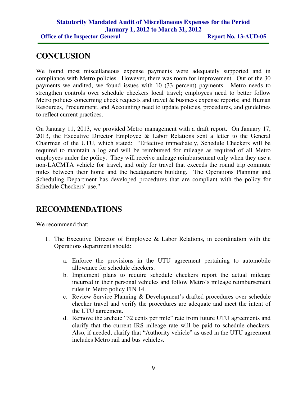## **CONCLUSION**

We found most miscellaneous expense payments were adequately supported and in compliance with Metro policies. However, there was room for improvement. Out of the 30 payments we audited, we found issues with 10 (33 percent) payments. Metro needs to strengthen controls over schedule checkers local travel; employees need to better follow Metro policies concerning check requests and travel & business expense reports; and Human Resources, Procurement, and Accounting need to update policies, procedures, and guidelines to reflect current practices.

On January 11, 2013, we provided Metro management with a draft report. On January 17, 2013, the Executive Director Employee & Labor Relations sent a letter to the General Chairman of the UTU, which stated: "Effective immediately, Schedule Checkers will be required to maintain a log and will be reimbursed for mileage as required of all Metro employees under the policy. They will receive mileage reimbursement only when they use a non-LACMTA vehicle for travel, and only for travel that exceeds the round trip commute miles between their home and the headquarters building. The Operations Planning and Scheduling Department has developed procedures that are compliant with the policy for Schedule Checkers' use."

# **RECOMMENDATIONS**

We recommend that:

- 1. The Executive Director of Employee & Labor Relations, in coordination with the Operations department should:
	- a. Enforce the provisions in the UTU agreement pertaining to automobile allowance for schedule checkers.
	- b. Implement plans to require schedule checkers report the actual mileage incurred in their personal vehicles and follow Metro's mileage reimbursement rules in Metro policy FIN 14.
	- c. Review Service Planning & Development's drafted procedures over schedule checker travel and verify the procedures are adequate and meet the intent of the UTU agreement.
	- d. Remove the archaic "32 cents per mile" rate from future UTU agreements and clarify that the current IRS mileage rate will be paid to schedule checkers. Also, if needed, clarify that "Authority vehicle" as used in the UTU agreement includes Metro rail and bus vehicles.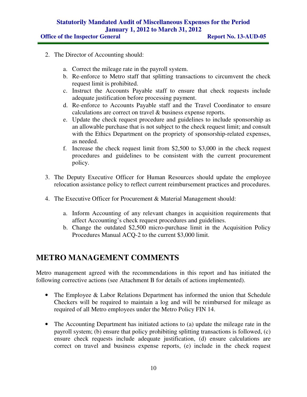**Office of the Inspector General Report No. 13-AUD-05** 

- 2. The Director of Accounting should:
	- a. Correct the mileage rate in the payroll system.
	- b. Re-enforce to Metro staff that splitting transactions to circumvent the check request limit is prohibited.
	- c. Instruct the Accounts Payable staff to ensure that check requests include adequate justification before processing payment.
	- d. Re-enforce to Accounts Payable staff and the Travel Coordinator to ensure calculations are correct on travel & business expense reports.
	- e. Update the check request procedure and guidelines to include sponsorship as an allowable purchase that is not subject to the check request limit; and consult with the Ethics Department on the propriety of sponsorship-related expenses, as needed.
	- f. Increase the check request limit from \$2,500 to \$3,000 in the check request procedures and guidelines to be consistent with the current procurement policy.
- 3. The Deputy Executive Officer for Human Resources should update the employee relocation assistance policy to reflect current reimbursement practices and procedures.
- 4. The Executive Officer for Procurement & Material Management should:
	- a. Inform Accounting of any relevant changes in acquisition requirements that affect Accounting's check request procedures and guidelines.
	- b. Change the outdated \$2,500 micro-purchase limit in the Acquisition Policy Procedures Manual ACQ-2 to the current \$3,000 limit.

## **METRO MANAGEMENT COMMENTS**

Metro management agreed with the recommendations in this report and has initiated the following corrective actions (see Attachment B for details of actions implemented).

- The Employee & Labor Relations Department has informed the union that Schedule Checkers will be required to maintain a log and will be reimbursed for mileage as required of all Metro employees under the Metro Policy FIN 14.
- The Accounting Department has initiated actions to (a) update the mileage rate in the payroll system; (b) ensure that policy prohibiting splitting transactions is followed, (c) ensure check requests include adequate justification, (d) ensure calculations are correct on travel and business expense reports, (e) include in the check request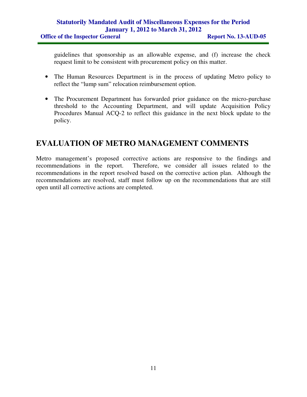guidelines that sponsorship as an allowable expense, and (f) increase the check request limit to be consistent with procurement policy on this matter.

- The Human Resources Department is in the process of updating Metro policy to reflect the "lump sum" relocation reimbursement option.
- The Procurement Department has forwarded prior guidance on the micro-purchase threshold to the Accounting Department, and will update Acquisition Policy Procedures Manual ACQ-2 to reflect this guidance in the next block update to the policy.

# **EVALUATION OF METRO MANAGEMENT COMMENTS**

Metro management's proposed corrective actions are responsive to the findings and recommendations in the report. Therefore, we consider all issues related to the recommendations in the report resolved based on the corrective action plan. Although the recommendations are resolved, staff must follow up on the recommendations that are still open until all corrective actions are completed.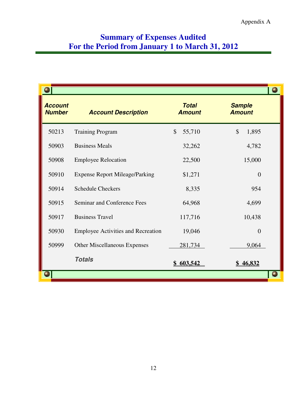# **Summary of Expenses Audited For the Period from January 1 to March 31, 2012**

|                                 |                                           |                               |                                | e |
|---------------------------------|-------------------------------------------|-------------------------------|--------------------------------|---|
| <b>Account</b><br><b>Number</b> | <b>Account Description</b>                | <b>Total</b><br><b>Amount</b> | <b>Sample</b><br><b>Amount</b> |   |
| 50213                           | <b>Training Program</b>                   | $\mathcal{S}$<br>55,710       | $\mathcal{S}$<br>1,895         |   |
| 50903                           | <b>Business Meals</b>                     | 32,262                        | 4,782                          |   |
| 50908                           | <b>Employee Relocation</b>                | 22,500                        | 15,000                         |   |
| 50910                           | <b>Expense Report Mileage/Parking</b>     | \$1,271                       | $\theta$                       |   |
| 50914                           | <b>Schedule Checkers</b>                  | 8,335                         | 954                            |   |
| 50915                           | Seminar and Conference Fees               | 64,968                        | 4,699                          |   |
| 50917                           | <b>Business Travel</b>                    | 117,716                       | 10,438                         |   |
| 50930                           | <b>Employee Activities and Recreation</b> | 19,046                        | $\overline{0}$                 |   |
| 50999                           | <b>Other Miscellaneous Expenses</b>       | 281,734                       | 9,064                          |   |
|                                 | <b>Totals</b>                             | 603,542                       | 46,832                         |   |
|                                 |                                           |                               |                                |   |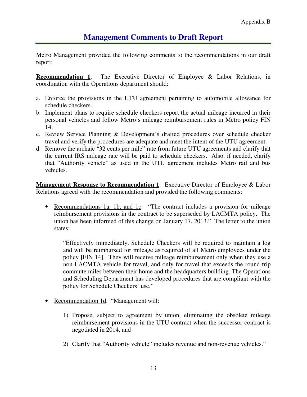## **Management Comments to Draft Report**

Metro Management provided the following comments to the recommendations in our draft report:

**Recommendation 1.** The Executive Director of Employee & Labor Relations, in coordination with the Operations department should:

- a. Enforce the provisions in the UTU agreement pertaining to automobile allowance for schedule checkers.
- b. Implement plans to require schedule checkers report the actual mileage incurred in their personal vehicles and follow Metro's mileage reimbursement rules in Metro policy FIN 14.
- c. Review Service Planning & Development's drafted procedures over schedule checker travel and verify the procedures are adequate and meet the intent of the UTU agreement.
- d. Remove the archaic "32 cents per mile" rate from future UTU agreements and clarify that the current IRS mileage rate will be paid to schedule checkers. Also, if needed, clarify that "Authority vehicle" as used in the UTU agreement includes Metro rail and bus vehicles.

**Management Response to Recommendation 1**. Executive Director of Employee & Labor Relations agreed with the recommendation and provided the following comments:

• Recommendations 1a, 1b, and 1c. "The contract includes a provision for mileage reimbursement provisions in the contract to be superseded by LACMTA policy. The union has been informed of this change on January 17, 2013." The letter to the union states:

"Effectively immediately, Schedule Checkers will be required to maintain a log and will be reimbursed for mileage as required of all Metro employees under the policy [FIN 14]. They will receive mileage reimbursement only when they use a non-LACMTA vehicle for travel, and only for travel that exceeds the round trip commute miles between their home and the headquarters building. The Operations and Scheduling Department has developed procedures that are compliant with the policy for Schedule Checkers' use."

- Recommendation 1d. "Management will:
	- 1) Propose, subject to agreement by union, eliminating the obsolete mileage reimbursement provisions in the UTU contract when the successor contract is negotiated in 2014, and
	- 2) Clarify that "Authority vehicle" includes revenue and non-revenue vehicles."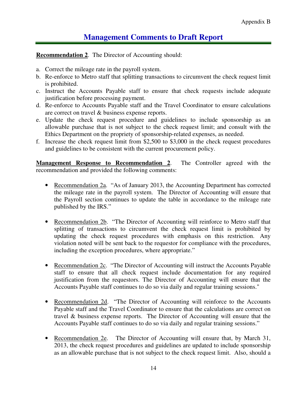# **Management Comments to Draft Report**

**Recommendation 2**. The Director of Accounting should:

- a. Correct the mileage rate in the payroll system.
- b. Re-enforce to Metro staff that splitting transactions to circumvent the check request limit is prohibited.
- c. Instruct the Accounts Payable staff to ensure that check requests include adequate justification before processing payment.
- d. Re-enforce to Accounts Payable staff and the Travel Coordinator to ensure calculations are correct on travel & business expense reports.
- e. Update the check request procedure and guidelines to include sponsorship as an allowable purchase that is not subject to the check request limit; and consult with the Ethics Department on the propriety of sponsorship-related expenses, as needed.
- f. Increase the check request limit from \$2,500 to \$3,000 in the check request procedures and guidelines to be consistent with the current procurement policy.

**Management Response to Recommendation 2**. The Controller agreed with the recommendation and provided the following comments:

- Recommendation 2a. "As of January 2013, the Accounting Department has corrected the mileage rate in the payroll system. The Director of Accounting will ensure that the Payroll section continues to update the table in accordance to the mileage rate published by the IRS."
- Recommendation 2b. "The Director of Accounting will reinforce to Metro staff that splitting of transactions to circumvent the check request limit is prohibited by updating the check request procedures with emphasis on this restriction. Any violation noted will be sent back to the requestor for compliance with the procedures, including the exception procedures, where appropriate."
- Recommendation 2c. "The Director of Accounting will instruct the Accounts Payable staff to ensure that all check request include documentation for any required justification from the requestors. The Director of Accounting will ensure that the Accounts Payable staff continues to do so via daily and regular training sessions."
- Recommendation 2d. "The Director of Accounting will reinforce to the Accounts Payable staff and the Travel Coordinator to ensure that the calculations are correct on travel & business expense reports. The Director of Accounting will ensure that the Accounts Payable staff continues to do so via daily and regular training sessions."
- Recommendation 2e. The Director of Accounting will ensure that, by March 31, 2013, the check request procedures and guidelines are updated to include sponsorship as an allowable purchase that is not subject to the check request limit. Also, should a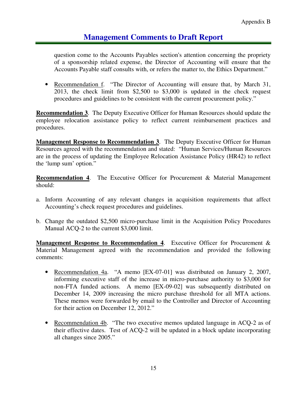## **Management Comments to Draft Report**

question come to the Accounts Payables section's attention concerning the propriety of a sponsorship related expense, the Director of Accounting will ensure that the Accounts Payable staff consults with, or refers the matter to, the Ethics Department."

• Recommendation f. "The Director of Accounting will ensure that, by March 31, 2013, the check limit from \$2,500 to \$3,000 is updated in the check request procedures and guidelines to be consistent with the current procurement policy."

**Recommendation 3**. The Deputy Executive Officer for Human Resources should update the employee relocation assistance policy to reflect current reimbursement practices and procedures.

**Management Response to Recommendation 3.** The Deputy Executive Officer for Human Resources agreed with the recommendation and stated: "Human Services/Human Resources are in the process of updating the Employee Relocation Assistance Policy (HR42) to reflect the 'lump sum' option."

**Recommendation 4.** The Executive Officer for Procurement & Material Management should:

- a. Inform Accounting of any relevant changes in acquisition requirements that affect Accounting's check request procedures and guidelines.
- b. Change the outdated \$2,500 micro-purchase limit in the Acquisition Policy Procedures Manual ACQ-2 to the current \$3,000 limit.

**Management Response to Recommendation 4**. Executive Officer for Procurement & Material Management agreed with the recommendation and provided the following comments:

- Recommendation 4a. "A memo [EX-07-01] was distributed on January 2, 2007, informing executive staff of the increase in micro-purchase authority to \$3,000 for non-FTA funded actions. A memo [EX-09-02] was subsequently distributed on December 14, 2009 increasing the micro purchase threshold for all MTA actions. These memos were forwarded by email to the Controller and Director of Accounting for their action on December 12, 2012."
- Recommendation 4b. "The two executive memos updated language in ACQ-2 as of their effective dates. Test of ACQ-2 will be updated in a block update incorporating all changes since 2005."